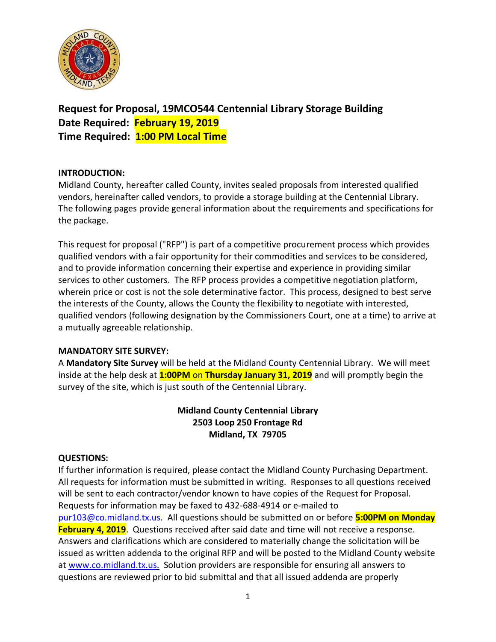

**Request for Proposal, 19MCO544 Centennial Library Storage Building Date Required: February 19, 2019 Time Required: 1:00 PM Local Time**

## **INTRODUCTION:**

Midland County, hereafter called County, invites sealed proposals from interested qualified vendors, hereinafter called vendors, to provide a storage building at the Centennial Library. The following pages provide general information about the requirements and specifications for the package.

This request for proposal ("RFP") is part of a competitive procurement process which provides qualified vendors with a fair opportunity for their commodities and services to be considered, and to provide information concerning their expertise and experience in providing similar services to other customers. The RFP process provides a competitive negotiation platform, wherein price or cost is not the sole determinative factor. This process, designed to best serve the interests of the County, allows the County the flexibility to negotiate with interested, qualified vendors (following designation by the Commissioners Court, one at a time) to arrive at a mutually agreeable relationship.

#### **MANDATORY SITE SURVEY:**

A **Mandatory Site Survey** will be held at the Midland County Centennial Library. We will meet inside at the help desk at **1:00PM** on **Thursday January 31, 2019** and will promptly begin the survey of the site, which is just south of the Centennial Library.

# **Midland County Centennial Library 2503 Loop 250 Frontage Rd Midland, TX 79705**

# **QUESTIONS:**

If further information is required, please contact the Midland County Purchasing Department. All requests for information must be submitted in writing. Responses to all questions received will be sent to each contractor/vendor known to have copies of the Request for Proposal. Requests for information may be faxed to 432-688-4914 or e-mailed to [pur103@co.midland.tx.us.](mailto:pur103@co.midland.tx.us) All questions should be submitted on or before **5:00PM on Monday February 4, 2019**. Questions received after said date and time will not receive a response. Answers and clarifications which are considered to materially change the solicitation will be issued as written addenda to the original RFP and will be posted to the Midland County website at [www.co.midland.tx.us.](http://www.co.midland.tx.us/) Solution providers are responsible for ensuring all answers to questions are reviewed prior to bid submittal and that all issued addenda are properly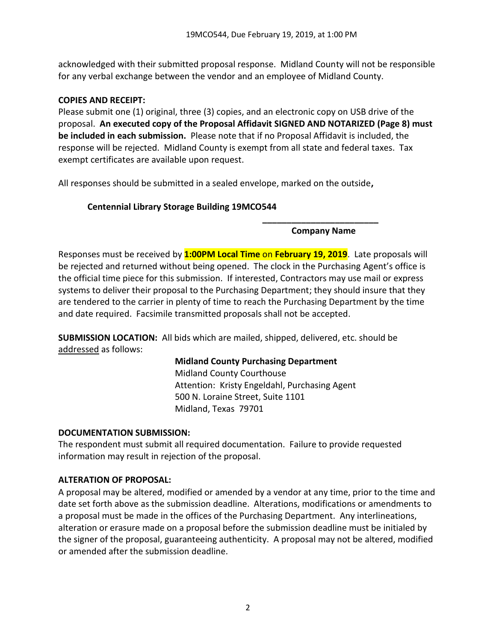acknowledged with their submitted proposal response. Midland County will not be responsible for any verbal exchange between the vendor and an employee of Midland County.

## **COPIES AND RECEIPT:**

Please submit one (1) original, three (3) copies, and an electronic copy on USB drive of the proposal. **An executed copy of the Proposal Affidavit SIGNED AND NOTARIZED (Page 8) must be included in each submission.** Please note that if no Proposal Affidavit is included, the response will be rejected. Midland County is exempt from all state and federal taxes. Tax exempt certificates are available upon request.

All responses should be submitted in a sealed envelope, marked on the outside**,** 

# **Centennial Library Storage Building 19MCO544**

**\_\_\_\_\_\_\_\_\_\_\_\_\_\_\_\_\_\_\_\_\_\_\_\_ Company Name**

Responses must be received by **1:00PM Local Time** on **February 19, 2019**. Late proposals will be rejected and returned without being opened. The clock in the Purchasing Agent's office is the official time piece for this submission. If interested, Contractors may use mail or express systems to deliver their proposal to the Purchasing Department; they should insure that they are tendered to the carrier in plenty of time to reach the Purchasing Department by the time and date required. Facsimile transmitted proposals shall not be accepted.

**SUBMISSION LOCATION:** All bids which are mailed, shipped, delivered, etc. should be addressed as follows:

#### **Midland County Purchasing Department**

Midland County Courthouse Attention: Kristy Engeldahl, Purchasing Agent 500 N. Loraine Street, Suite 1101 Midland, Texas 79701

#### **DOCUMENTATION SUBMISSION:**

The respondent must submit all required documentation. Failure to provide requested information may result in rejection of the proposal.

#### **ALTERATION OF PROPOSAL:**

A proposal may be altered, modified or amended by a vendor at any time, prior to the time and date set forth above as the submission deadline. Alterations, modifications or amendments to a proposal must be made in the offices of the Purchasing Department. Any interlineations, alteration or erasure made on a proposal before the submission deadline must be initialed by the signer of the proposal, guaranteeing authenticity. A proposal may not be altered, modified or amended after the submission deadline.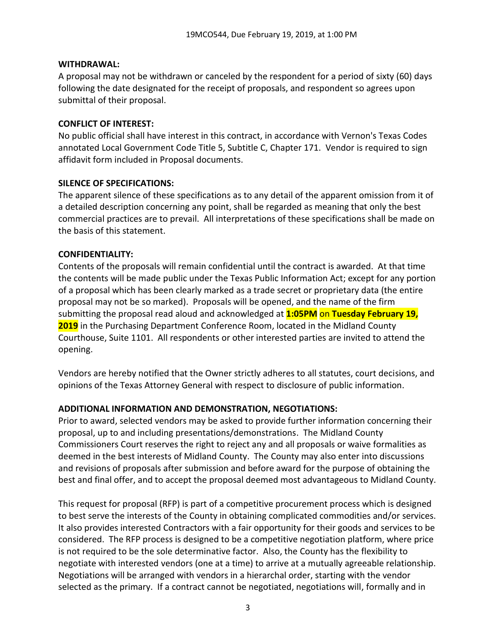### **WITHDRAWAL:**

A proposal may not be withdrawn or canceled by the respondent for a period of sixty (60) days following the date designated for the receipt of proposals, and respondent so agrees upon submittal of their proposal.

## **CONFLICT OF INTEREST:**

No public official shall have interest in this contract, in accordance with Vernon's Texas Codes annotated Local Government Code Title 5, Subtitle C, Chapter 171. Vendor is required to sign affidavit form included in Proposal documents.

# **SILENCE OF SPECIFICATIONS:**

The apparent silence of these specifications as to any detail of the apparent omission from it of a detailed description concerning any point, shall be regarded as meaning that only the best commercial practices are to prevail. All interpretations of these specifications shall be made on the basis of this statement.

# **CONFIDENTIALITY:**

Contents of the proposals will remain confidential until the contract is awarded. At that time the contents will be made public under the Texas Public Information Act; except for any portion of a proposal which has been clearly marked as a trade secret or proprietary data (the entire proposal may not be so marked). Proposals will be opened, and the name of the firm submitting the proposal read aloud and acknowledged at **1:05PM** on **Tuesday February 19, 2019** in the Purchasing Department Conference Room, located in the Midland County Courthouse, Suite 1101. All respondents or other interested parties are invited to attend the opening.

Vendors are hereby notified that the Owner strictly adheres to all statutes, court decisions, and opinions of the Texas Attorney General with respect to disclosure of public information.

# **ADDITIONAL INFORMATION AND DEMONSTRATION, NEGOTIATIONS:**

Prior to award, selected vendors may be asked to provide further information concerning their proposal, up to and including presentations/demonstrations. The Midland County Commissioners Court reserves the right to reject any and all proposals or waive formalities as deemed in the best interests of Midland County. The County may also enter into discussions and revisions of proposals after submission and before award for the purpose of obtaining the best and final offer, and to accept the proposal deemed most advantageous to Midland County.

This request for proposal (RFP) is part of a competitive procurement process which is designed to best serve the interests of the County in obtaining complicated commodities and/or services. It also provides interested Contractors with a fair opportunity for their goods and services to be considered. The RFP process is designed to be a competitive negotiation platform, where price is not required to be the sole determinative factor. Also, the County has the flexibility to negotiate with interested vendors (one at a time) to arrive at a mutually agreeable relationship. Negotiations will be arranged with vendors in a hierarchal order, starting with the vendor selected as the primary. If a contract cannot be negotiated, negotiations will, formally and in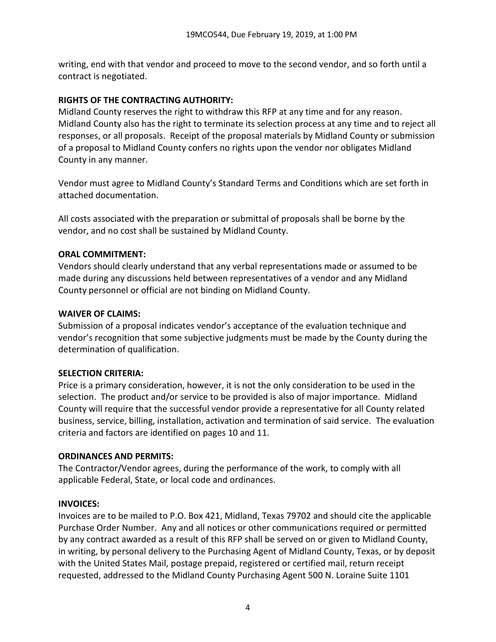writing, end with that vendor and proceed to move to the second vendor, and so forth until a contract is negotiated.

# **RIGHTS OF THE CONTRACTING AUTHORITY:**

Midland County reserves the right to withdraw this RFP at any time and for any reason. Midland County also has the right to terminate its selection process at any time and to reject all responses, or all proposals. Receipt of the proposal materials by Midland County or submission of a proposal to Midland County confers no rights upon the vendor nor obligates Midland County in any manner.

Vendor must agree to Midland County's Standard Terms and Conditions which are set forth in attached documentation.

All costs associated with the preparation or submittal of proposals shall be borne by the vendor, and no cost shall be sustained by Midland County.

# **ORAL COMMITMENT:**

Vendors should clearly understand that any verbal representations made or assumed to be made during any discussions held between representatives of a vendor and any Midland County personnel or official are not binding on Midland County.

# **WAIVER OF CLAIMS:**

Submission of a proposal indicates vendor's acceptance of the evaluation technique and vendor's recognition that some subjective judgments must be made by the County during the determination of qualification.

# **SELECTION CRITERIA:**

Price is a primary consideration, however, it is not the only consideration to be used in the selection. The product and/or service to be provided is also of major importance. Midland County will require that the successful vendor provide a representative for all County related business, service, billing, installation, activation and termination of said service. The evaluation criteria and factors are identified on pages 10 and 11.

# **ORDINANCES AND PERMITS:**

The Contractor/Vendor agrees, during the performance of the work, to comply with all applicable Federal, State, or local code and ordinances.

# **INVOICES:**

Invoices are to be mailed to P.O. Box 421, Midland, Texas 79702 and should cite the applicable Purchase Order Number. Any and all notices or other communications required or permitted by any contract awarded as a result of this RFP shall be served on or given to Midland County, in writing, by personal delivery to the Purchasing Agent of Midland County, Texas, or by deposit with the United States Mail, postage prepaid, registered or certified mail, return receipt requested, addressed to the Midland County Purchasing Agent 500 N. Loraine Suite 1101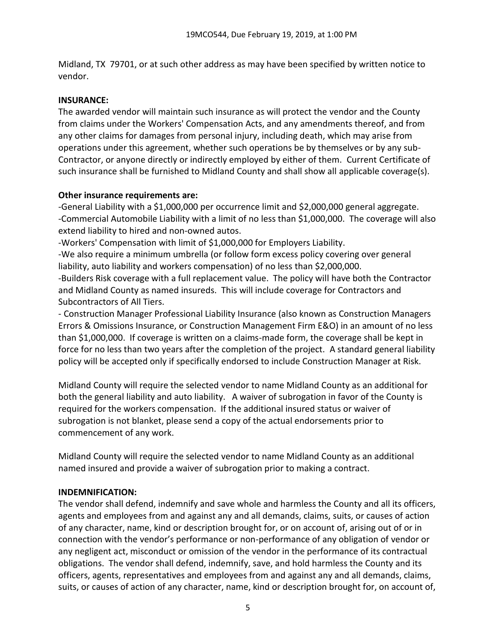Midland, TX 79701, or at such other address as may have been specified by written notice to vendor.

# **INSURANCE:**

The awarded vendor will maintain such insurance as will protect the vendor and the County from claims under the Workers' Compensation Acts, and any amendments thereof, and from any other claims for damages from personal injury, including death, which may arise from operations under this agreement, whether such operations be by themselves or by any sub-Contractor, or anyone directly or indirectly employed by either of them. Current Certificate of such insurance shall be furnished to Midland County and shall show all applicable coverage(s).

# **Other insurance requirements are:**

-General Liability with a \$1,000,000 per occurrence limit and \$2,000,000 general aggregate. -Commercial Automobile Liability with a limit of no less than \$1,000,000. The coverage will also extend liability to hired and non-owned autos.

-Workers' Compensation with limit of \$1,000,000 for Employers Liability.

-We also require a minimum umbrella (or follow form excess policy covering over general liability, auto liability and workers compensation) of no less than \$2,000,000.

-Builders Risk coverage with a full replacement value. The policy will have both the Contractor and Midland County as named insureds. This will include coverage for Contractors and Subcontractors of All Tiers.

- Construction Manager Professional Liability Insurance (also known as Construction Managers Errors & Omissions Insurance, or Construction Management Firm E&O) in an amount of no less than \$1,000,000. If coverage is written on a claims-made form, the coverage shall be kept in force for no less than two years after the completion of the project. A standard general liability policy will be accepted only if specifically endorsed to include Construction Manager at Risk.

Midland County will require the selected vendor to name Midland County as an additional for both the general liability and auto liability. A waiver of subrogation in favor of the County is required for the workers compensation. If the additional insured status or waiver of subrogation is not blanket, please send a copy of the actual endorsements prior to commencement of any work.

Midland County will require the selected vendor to name Midland County as an additional named insured and provide a waiver of subrogation prior to making a contract.

# **INDEMNIFICATION:**

The vendor shall defend, indemnify and save whole and harmless the County and all its officers, agents and employees from and against any and all demands, claims, suits, or causes of action of any character, name, kind or description brought for, or on account of, arising out of or in connection with the vendor's performance or non-performance of any obligation of vendor or any negligent act, misconduct or omission of the vendor in the performance of its contractual obligations. The vendor shall defend, indemnify, save, and hold harmless the County and its officers, agents, representatives and employees from and against any and all demands, claims, suits, or causes of action of any character, name, kind or description brought for, on account of,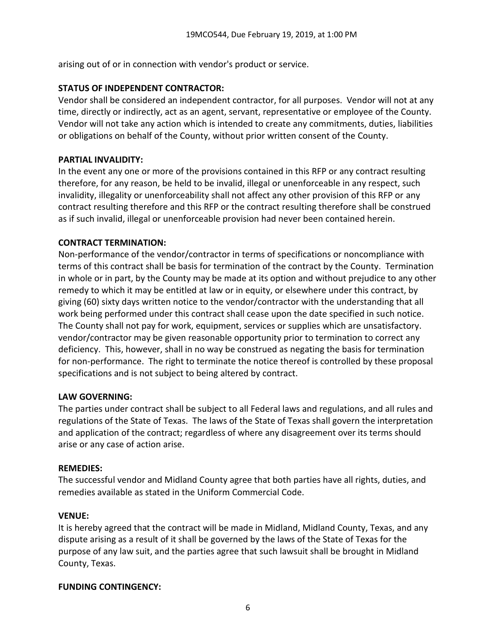arising out of or in connection with vendor's product or service.

## **STATUS OF INDEPENDENT CONTRACTOR:**

Vendor shall be considered an independent contractor, for all purposes. Vendor will not at any time, directly or indirectly, act as an agent, servant, representative or employee of the County. Vendor will not take any action which is intended to create any commitments, duties, liabilities or obligations on behalf of the County, without prior written consent of the County.

## **PARTIAL INVALIDITY:**

In the event any one or more of the provisions contained in this RFP or any contract resulting therefore, for any reason, be held to be invalid, illegal or unenforceable in any respect, such invalidity, illegality or unenforceability shall not affect any other provision of this RFP or any contract resulting therefore and this RFP or the contract resulting therefore shall be construed as if such invalid, illegal or unenforceable provision had never been contained herein.

## **CONTRACT TERMINATION:**

Non-performance of the vendor/contractor in terms of specifications or noncompliance with terms of this contract shall be basis for termination of the contract by the County. Termination in whole or in part, by the County may be made at its option and without prejudice to any other remedy to which it may be entitled at law or in equity, or elsewhere under this contract, by giving (60) sixty days written notice to the vendor/contractor with the understanding that all work being performed under this contract shall cease upon the date specified in such notice. The County shall not pay for work, equipment, services or supplies which are unsatisfactory. vendor/contractor may be given reasonable opportunity prior to termination to correct any deficiency. This, however, shall in no way be construed as negating the basis for termination for non-performance. The right to terminate the notice thereof is controlled by these proposal specifications and is not subject to being altered by contract.

#### **LAW GOVERNING:**

The parties under contract shall be subject to all Federal laws and regulations, and all rules and regulations of the State of Texas. The laws of the State of Texas shall govern the interpretation and application of the contract; regardless of where any disagreement over its terms should arise or any case of action arise.

#### **REMEDIES:**

The successful vendor and Midland County agree that both parties have all rights, duties, and remedies available as stated in the Uniform Commercial Code.

#### **VENUE:**

It is hereby agreed that the contract will be made in Midland, Midland County, Texas, and any dispute arising as a result of it shall be governed by the laws of the State of Texas for the purpose of any law suit, and the parties agree that such lawsuit shall be brought in Midland County, Texas.

#### **FUNDING CONTINGENCY:**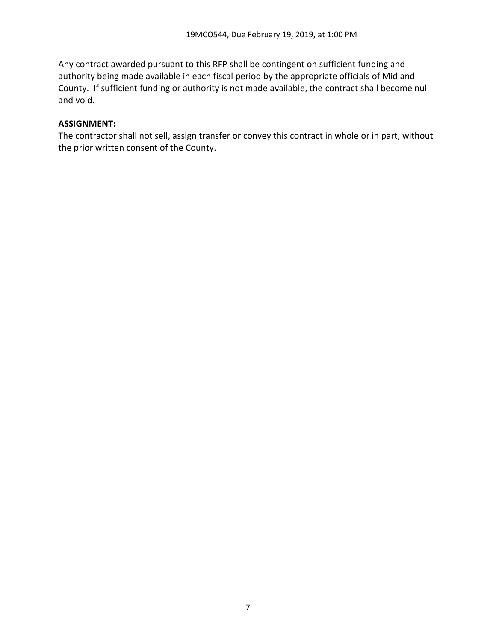Any contract awarded pursuant to this RFP shall be contingent on sufficient funding and authority being made available in each fiscal period by the appropriate officials of Midland County. If sufficient funding or authority is not made available, the contract shall become null and void.

#### **ASSIGNMENT:**

The contractor shall not sell, assign transfer or convey this contract in whole or in part, without the prior written consent of the County.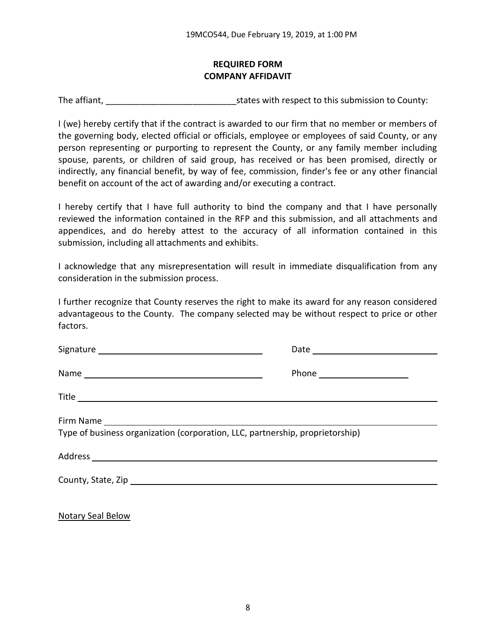# **REQUIRED FORM COMPANY AFFIDAVIT**

The affiant, The affiant,  $\frac{1}{2}$  is tates with respect to this submission to County:

I (we) hereby certify that if the contract is awarded to our firm that no member or members of the governing body, elected official or officials, employee or employees of said County, or any person representing or purporting to represent the County, or any family member including spouse, parents, or children of said group, has received or has been promised, directly or indirectly, any financial benefit, by way of fee, commission, finder's fee or any other financial benefit on account of the act of awarding and/or executing a contract.

I hereby certify that I have full authority to bind the company and that I have personally reviewed the information contained in the RFP and this submission, and all attachments and appendices, and do hereby attest to the accuracy of all information contained in this submission, including all attachments and exhibits.

I acknowledge that any misrepresentation will result in immediate disqualification from any consideration in the submission process.

I further recognize that County reserves the right to make its award for any reason considered advantageous to the County. The company selected may be without respect to price or other factors.

|                                                                               | Phone _______________________ |  |
|-------------------------------------------------------------------------------|-------------------------------|--|
|                                                                               |                               |  |
| Type of business organization (corporation, LLC, partnership, proprietorship) |                               |  |
|                                                                               |                               |  |
|                                                                               |                               |  |
|                                                                               |                               |  |

Notary Seal Below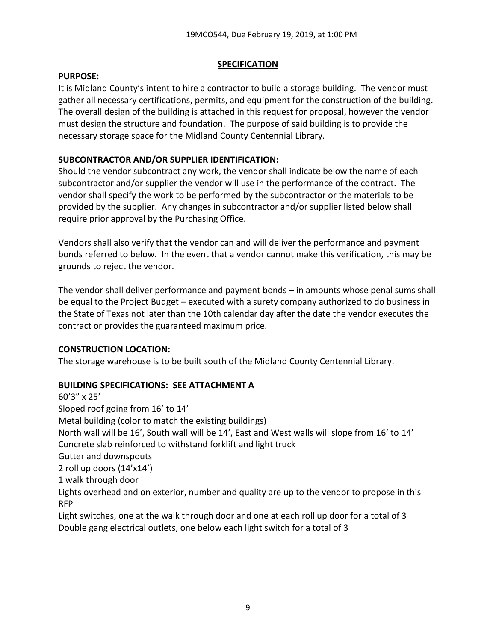### **SPECIFICATION**

#### **PURPOSE:**

It is Midland County's intent to hire a contractor to build a storage building. The vendor must gather all necessary certifications, permits, and equipment for the construction of the building. The overall design of the building is attached in this request for proposal, however the vendor must design the structure and foundation. The purpose of said building is to provide the necessary storage space for the Midland County Centennial Library.

# **SUBCONTRACTOR AND/OR SUPPLIER IDENTIFICATION:**

Should the vendor subcontract any work, the vendor shall indicate below the name of each subcontractor and/or supplier the vendor will use in the performance of the contract. The vendor shall specify the work to be performed by the subcontractor or the materials to be provided by the supplier. Any changes in subcontractor and/or supplier listed below shall require prior approval by the Purchasing Office.

Vendors shall also verify that the vendor can and will deliver the performance and payment bonds referred to below. In the event that a vendor cannot make this verification, this may be grounds to reject the vendor.

The vendor shall deliver performance and payment bonds – in amounts whose penal sums shall be equal to the Project Budget – executed with a surety company authorized to do business in the State of Texas not later than the 10th calendar day after the date the vendor executes the contract or provides the guaranteed maximum price.

# **CONSTRUCTION LOCATION:**

The storage warehouse is to be built south of the Midland County Centennial Library.

# **BUILDING SPECIFICATIONS: SEE ATTACHMENT A**

60'3" x 25' Sloped roof going from 16' to 14' Metal building (color to match the existing buildings) North wall will be 16', South wall will be 14', East and West walls will slope from 16' to 14' Concrete slab reinforced to withstand forklift and light truck Gutter and downspouts 2 roll up doors (14'x14') 1 walk through door Lights overhead and on exterior, number and quality are up to the vendor to propose in this RFP Light switches, one at the walk through door and one at each roll up door for a total of 3 Double gang electrical outlets, one below each light switch for a total of 3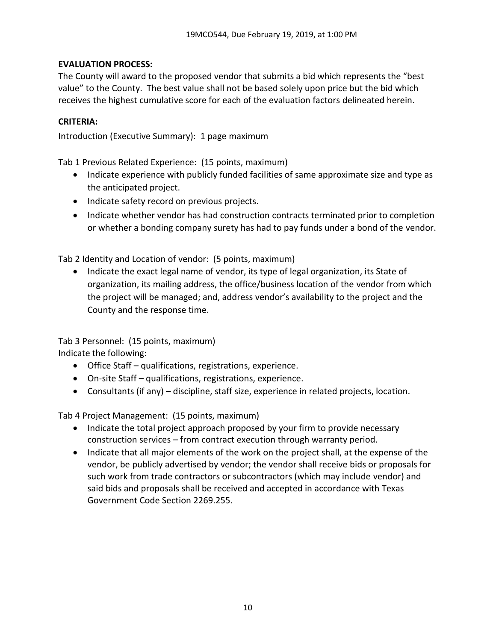## **EVALUATION PROCESS:**

The County will award to the proposed vendor that submits a bid which represents the "best value" to the County. The best value shall not be based solely upon price but the bid which receives the highest cumulative score for each of the evaluation factors delineated herein.

#### **CRITERIA:**

Introduction (Executive Summary): 1 page maximum

Tab 1 Previous Related Experience: (15 points, maximum)

- Indicate experience with publicly funded facilities of same approximate size and type as the anticipated project.
- Indicate safety record on previous projects.
- Indicate whether vendor has had construction contracts terminated prior to completion or whether a bonding company surety has had to pay funds under a bond of the vendor.

Tab 2 Identity and Location of vendor: (5 points, maximum)

• Indicate the exact legal name of vendor, its type of legal organization, its State of organization, its mailing address, the office/business location of the vendor from which the project will be managed; and, address vendor's availability to the project and the County and the response time.

Tab 3 Personnel: (15 points, maximum) Indicate the following:

- Office Staff qualifications, registrations, experience.
- On-site Staff qualifications, registrations, experience.
- Consultants (if any) discipline, staff size, experience in related projects, location.

Tab 4 Project Management: (15 points, maximum)

- Indicate the total project approach proposed by your firm to provide necessary construction services – from contract execution through warranty period.
- Indicate that all major elements of the work on the project shall, at the expense of the vendor, be publicly advertised by vendor; the vendor shall receive bids or proposals for such work from trade contractors or subcontractors (which may include vendor) and said bids and proposals shall be received and accepted in accordance with Texas Government Code Section 2269.255.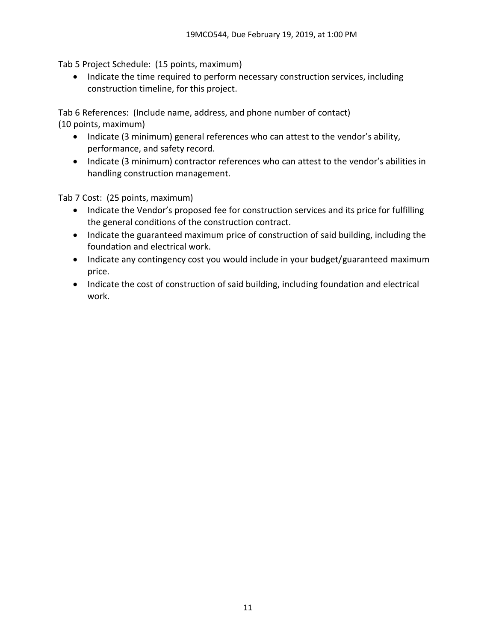Tab 5 Project Schedule: (15 points, maximum)

• Indicate the time required to perform necessary construction services, including construction timeline, for this project.

Tab 6 References: (Include name, address, and phone number of contact) (10 points, maximum)

- Indicate (3 minimum) general references who can attest to the vendor's ability, performance, and safety record.
- Indicate (3 minimum) contractor references who can attest to the vendor's abilities in handling construction management.

Tab 7 Cost: (25 points, maximum)

- Indicate the Vendor's proposed fee for construction services and its price for fulfilling the general conditions of the construction contract.
- Indicate the guaranteed maximum price of construction of said building, including the foundation and electrical work.
- Indicate any contingency cost you would include in your budget/guaranteed maximum price.
- Indicate the cost of construction of said building, including foundation and electrical work.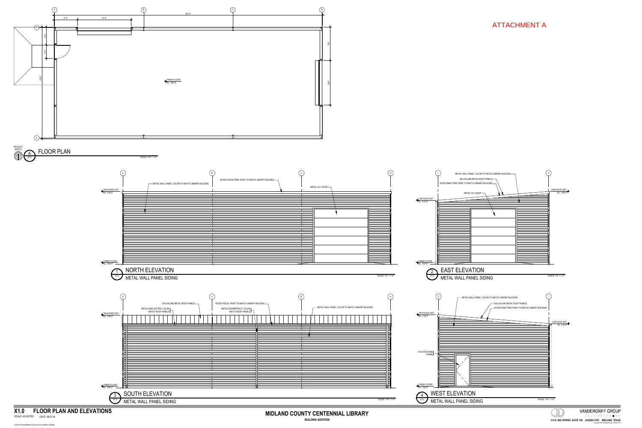